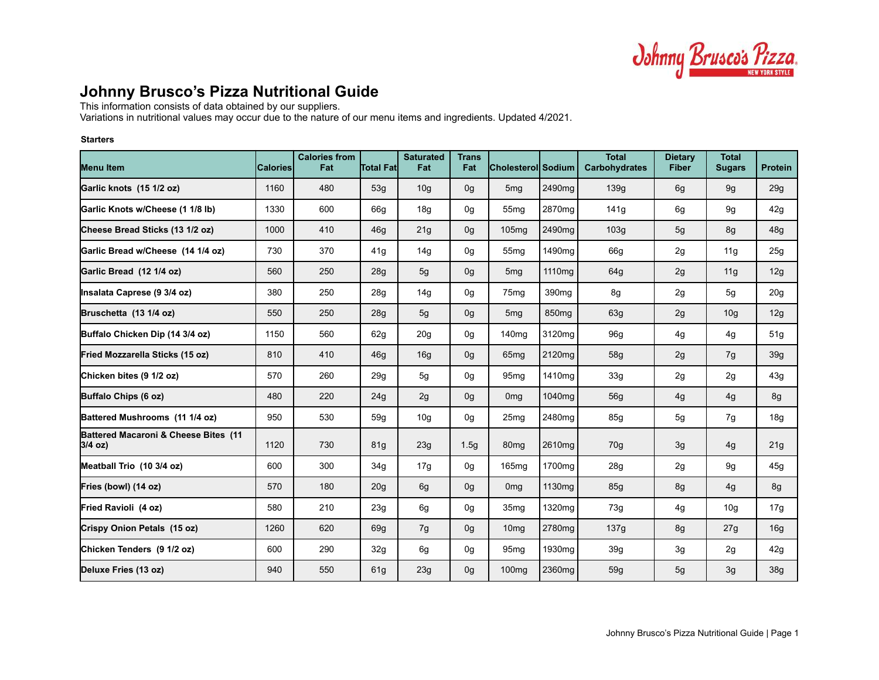

# **Johnny Brusco's Pizza Nutritional Guide**

This information consists of data obtained by our suppliers.

Variations in nutritional values may occur due to the nature of our menu items and ingredients. Updated 4/2021.

# **Starters**

| <b>Menu Item</b>                                  | <b>Calories</b> | <b>Calories from</b><br>Fat | <b>Total Fatl</b> | <b>Saturated</b><br>Fat | <b>Trans</b><br>Fat | Cholesterol Sodium |                    | <b>Total</b><br><b>Carbohydrates</b> | <b>Dietary</b><br><b>Fiber</b> | <b>Total</b><br><b>Sugars</b> | <b>Protein</b>  |
|---------------------------------------------------|-----------------|-----------------------------|-------------------|-------------------------|---------------------|--------------------|--------------------|--------------------------------------|--------------------------------|-------------------------------|-----------------|
| Garlic knots (15 1/2 oz)                          | 1160            | 480                         | 53g               | 10 <sub>g</sub>         | 0g                  | 5 <sub>mg</sub>    | 2490mg             | 139g                                 | 6g                             | 9g                            | 29g             |
| Garlic Knots w/Cheese (1 1/8 lb)                  | 1330            | 600                         | 66g               | 18g                     | 0g                  | 55 <sub>mq</sub>   | 2870 <sub>mq</sub> | 141g                                 | 6g                             | 9g                            | 42g             |
| Cheese Bread Sticks (13 1/2 oz)                   | 1000            | 410                         | 46g               | 21g                     | 0g                  | 105 <sub>mq</sub>  | 2490 <sub>ma</sub> | 103g                                 | 5g                             | 8g                            | 48g             |
| Garlic Bread w/Cheese (14 1/4 oz)                 | 730             | 370                         | 41g               | 14 <sub>g</sub>         | 0g                  | 55 <sub>mq</sub>   | 1490 <sub>mq</sub> | 66g                                  | 2g                             | 11g                           | 25g             |
| Garlic Bread (12 1/4 oz)                          | 560             | 250                         | 28g               | 5g                      | 0g                  | 5 <sub>mg</sub>    | 1110mg             | 64g                                  | 2g                             | 11g                           | 12g             |
| Insalata Caprese (9 3/4 oz)                       | 380             | 250                         | 28g               | 14g                     | 0g                  | 75 <sub>mq</sub>   | 390 <sub>mq</sub>  | 8g                                   | 2g                             | 5g                            | 20 <sub>g</sub> |
| Bruschetta (13 1/4 oz)                            | 550             | 250                         | 28g               | 5 <sub>g</sub>          | 0g                  | 5 <sub>mg</sub>    | 850 <sub>mq</sub>  | 63g                                  | 2g                             | 10 <sub>g</sub>               | 12g             |
| Buffalo Chicken Dip (14 3/4 oz)                   | 1150            | 560                         | 62g               | 20 <sub>g</sub>         | 0g                  | 140 <sub>mg</sub>  | 3120mg             | 96g                                  | 4g                             | 4g                            | 51g             |
| Fried Mozzarella Sticks (15 oz)                   | 810             | 410                         | 46q               | 16g                     | 0g                  | 65 <sub>mq</sub>   | 2120mg             | 58g                                  | 2g                             | 7g                            | 39g             |
| Chicken bites (9 1/2 oz)                          | 570             | 260                         | 29g               | 5g                      | 0 <sub>q</sub>      | 95 <sub>mg</sub>   | 1410mg             | 33g                                  | 2g                             | 2g                            | 43g             |
| Buffalo Chips (6 oz)                              | 480             | 220                         | 24g               | 2g                      | 0 <sub>g</sub>      | 0 <sub>mg</sub>    | 1040mg             | 56g                                  | 4g                             | 4g                            | 8g              |
| Battered Mushrooms (11 1/4 oz)                    | 950             | 530                         | 59q               | 10 <sub>g</sub>         | 0g                  | 25 <sub>mq</sub>   | 2480mg             | 85g                                  | 5g                             | 7g                            | 18g             |
| Battered Macaroni & Cheese Bites (11<br>$3/4$ oz) | 1120            | 730                         | 81g               | 23g                     | 1.5 <sub>g</sub>    | 80 <sub>mg</sub>   | 2610mg             | 70g                                  | 3g                             | 4g                            | 21g             |
| Meatball Trio (10 3/4 oz)                         | 600             | 300                         | 34g               | 17g                     | 0g                  | 165 <sub>mq</sub>  | 1700mg             | 28g                                  | 2g                             | 9g                            | 45g             |
| Fries (bowl) (14 oz)                              | 570             | 180                         | 20 <sub>g</sub>   | 6g                      | 0g                  | 0 <sub>mq</sub>    | 1130 <sub>mg</sub> | 85g                                  | 8g                             | 4g                            | 8g              |
| Fried Ravioli (4 oz)                              | 580             | 210                         | 23g               | 6g                      | 0g                  | 35 <sub>mq</sub>   | 1320mg             | 73g                                  | 4g                             | 10 <sub>g</sub>               | 17g             |
| Crispy Onion Petals (15 oz)                       | 1260            | 620                         | 69g               | 7g                      | 0g                  | 10 <sub>mq</sub>   | 2780mg             | 137g                                 | 8g                             | 27g                           | 16g             |
| Chicken Tenders (9 1/2 oz)                        | 600             | 290                         | 32g               | 6g                      | 0g                  | 95 <sub>mq</sub>   | 1930mg             | 39 <sub>g</sub>                      | 3g                             | 2g                            | 42g             |
| Deluxe Fries (13 oz)                              | 940             | 550                         | 61g               | 23g                     | 0g                  | 100 <sub>mg</sub>  | 2360mg             | 59g                                  | 5g                             | 3g                            | 38g             |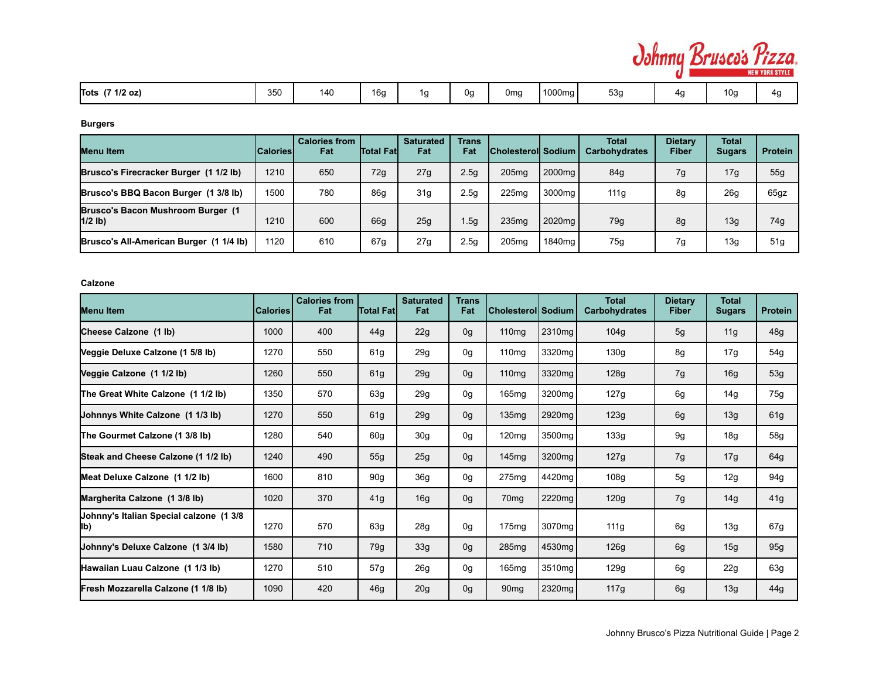

# **Burgers**

| <b>Menu</b> Item                               | <b>ICaloriesI</b> | <b>Calories from</b><br>Fat | <b>Total Fatl</b> | <b>Saturated</b><br>Fat | <b>Trans</b><br>Fat | <b>Cholesteroll Sodium</b> |                    | Total<br><b>Carbohydrates</b> | <b>Dietary</b><br>Fiber | <b>Total</b><br><b>Sugars</b> | <b>Protein</b>  |
|------------------------------------------------|-------------------|-----------------------------|-------------------|-------------------------|---------------------|----------------------------|--------------------|-------------------------------|-------------------------|-------------------------------|-----------------|
| Brusco's Firecracker Burger (1 1/2 lb)         | 1210              | 650                         | 72g               | 27g                     | 2.5 <sub>g</sub>    | 205 <sub>mq</sub>          | 2000 <sub>mg</sub> | 84g                           | 7g                      | 17g                           | 55q             |
| Brusco's BBQ Bacon Burger (1 3/8 lb)           | 1500              | 780                         | 86q               | 31 <sub>g</sub>         | 2.5g                | 225 <sub>mq</sub>          | 3000mg             | 111g                          | 8g                      | 26g                           | 65gz            |
| Brusco's Bacon Mushroom Burger (1<br>$1/2$ lb) | 1210              | 600                         | 66g               | 25 <sub>q</sub>         | 1.5q                | 235 <sub>mq</sub>          | 2020 <sub>ma</sub> | 79g                           | 8g                      | 13g                           | 74g             |
| Brusco's All-American Burger (1 1/4 lb)        | 1120              | 610                         | 67g               | 27g                     | 2.5 <sub>g</sub>    | 205 <sub>mq</sub>          | 1840 <sub>ma</sub> | 75g                           | 7g                      | 13g                           | 51 <sub>q</sub> |

#### **Calzone**

| <b>Menu Item</b>                               | <b>Calories</b> | <b>Calories from</b><br>Fat | <b>Total Fatl</b> | <b>Saturated</b><br>Fat | <b>Trans</b><br>Fat | Cholesterol  Sodium |        | <b>Total</b><br><b>Carbohydrates</b> | <b>Dietary</b><br><b>Fiber</b> | <b>Total</b><br><b>Sugars</b> | <b>Protein</b> |
|------------------------------------------------|-----------------|-----------------------------|-------------------|-------------------------|---------------------|---------------------|--------|--------------------------------------|--------------------------------|-------------------------------|----------------|
| Cheese Calzone (1 lb)                          | 1000            | 400                         | 44g               | 22g                     | 0g                  | 110mg               | 2310mg | 104g                                 | 5g                             | 11g                           | 48g            |
| Veggie Deluxe Calzone (1 5/8 lb)               | 1270            | 550                         | 61g               | 29g                     | 0g                  | 110 <sub>mg</sub>   | 3320mg | 130g                                 | 8g                             | 17g                           | 54g            |
| Veggie Calzone (1 1/2 lb)                      | 1260            | 550                         | 61g               | 29g                     | 0g                  | 110mg               | 3320mg | 128g                                 | 7g                             | 16g                           | 53g            |
| The Great White Calzone (1 1/2 lb)             | 1350            | 570                         | 63g               | 29g                     | 0g                  | 165mg               | 3200mg | 127g                                 | 6g                             | 14g                           | 75g            |
| Johnnys White Calzone (1 1/3 lb)               | 1270            | 550                         | 61g               | 29g                     | 0g                  | 135mg               | 2920mg | 123g                                 | 6g                             | 13g                           | 61g            |
| The Gourmet Calzone (1 3/8 lb)                 | 1280            | 540                         | 60 <sub>g</sub>   | 30 <sub>g</sub>         | 0g                  | 120mg               | 3500mg | 133g                                 | 9g                             | 18g                           | 58g            |
| Steak and Cheese Calzone (1 1/2 lb)            | 1240            | 490                         | 55g               | 25g                     | 0g                  | 145mg               | 3200mg | 127g                                 | 7g                             | 17g                           | 64g            |
| Meat Deluxe Calzone (1 1/2 lb)                 | 1600            | 810                         | 90 <sub>g</sub>   | 36g                     | 0g                  | 275mg               | 4420mg | 108g                                 | 5g                             | 12g                           | 94g            |
| Margherita Calzone (1 3/8 lb)                  | 1020            | 370                         | 41g               | 16g                     | 0g                  | 70 <sub>mq</sub>    | 2220mg | 120g                                 | 7g                             | 14g                           | 41g            |
| Johnny's Italian Special calzone (1 3/8<br>lb) | 1270            | 570                         | 63g               | 28g                     | 0g                  | 175mg               | 3070mg | 111g                                 | 6g                             | 13g                           | 67g            |
| Johnny's Deluxe Calzone (1 3/4 lb)             | 1580            | 710                         | 79g               | 33g                     | 0g                  | 285mg               | 4530mg | 126g                                 | 6g                             | 15g                           | 95g            |
| Hawaiian Luau Calzone (1 1/3 lb)               | 1270            | 510                         | 57g               | 26g                     | 0g                  | 165mg               | 3510mg | 129g                                 | 6g                             | 22g                           | 63g            |
| Fresh Mozzarella Calzone (1 1/8 lb)            | 1090            | 420                         | 46g               | 20g                     | 0g                  | 90 <sub>mq</sub>    | 2320mg | 117g                                 | 6g                             | 13g                           | 44g            |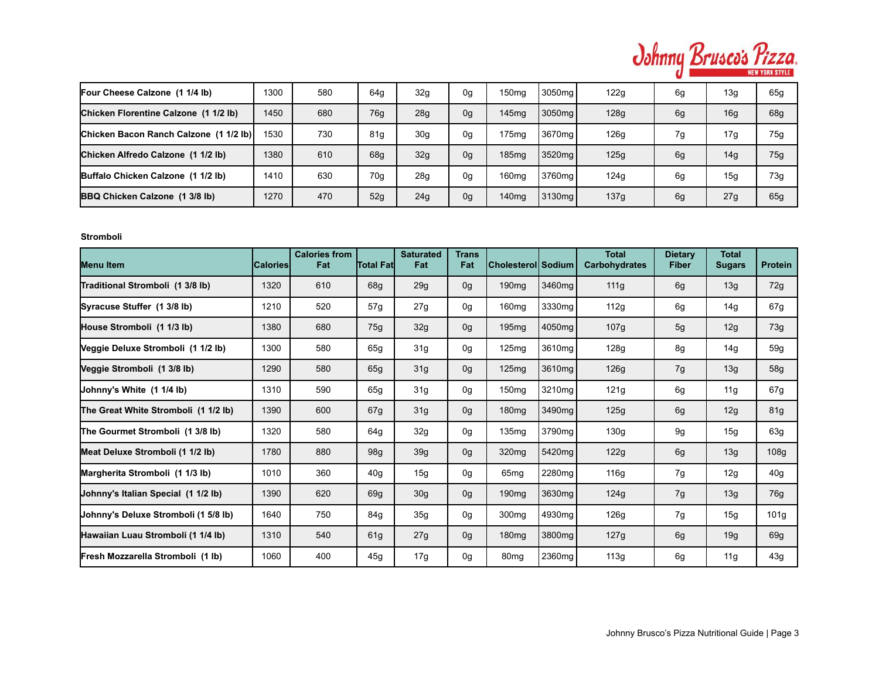

| Four Cheese Calzone (1 1/4 lb)         | 1300 | 580 | 64q             | 32g             | 0g             | 150 <sub>mq</sub> | 3050ma l           | 122g | 6g | 13g | 65g             |
|----------------------------------------|------|-----|-----------------|-----------------|----------------|-------------------|--------------------|------|----|-----|-----------------|
| Chicken Florentine Calzone (1 1/2 lb)  | 1450 | 680 | 76 <sub>q</sub> | 28g             | 0 <sub>g</sub> | 145 <sub>mq</sub> | 3050mg             | 128g | 6g | 16g | 68g             |
| Chicken Bacon Ranch Calzone (1 1/2 lb) | 1530 | 730 | 81g             | 30 <sub>g</sub> | 0g             | 175 <sub>mq</sub> | 3670 <sub>ma</sub> | 126g | 7g | 17g | 75g             |
| Chicken Alfredo Calzone (1 1/2 lb)     | 1380 | 610 | 68q             | 32g             | 0 <sub>g</sub> | 185mg             | 3520 <sub>mg</sub> | 125g | 6g | 14g | 75g             |
| Buffalo Chicken Calzone (1 1/2 lb)     | 1410 | 630 | 70 <sub>q</sub> | 28g             | 0g             | 160 <sub>mq</sub> | 3760mg             | 124g | 6g | 15g | 73g             |
| <b>BBQ Chicken Calzone (1 3/8 lb)</b>  | 1270 | 470 | 52g             | 24g             | 0 <sub>g</sub> | 140 <sub>mq</sub> | 3130 <sub>ma</sub> | 137g | 6g | 27g | 65 <sub>q</sub> |

### **Stromboli**

| <b>Menu Item</b>                     | <b>Calories</b> | <b>Calories from</b><br>Fat | <b>Total Fatl</b> | <b>Saturated</b><br>Fat | <b>Trans</b><br>Fat | Cholesterol  Sodium |        | <b>Total</b><br><b>Carbohydrates</b> | <b>Dietary</b><br><b>Fiber</b> | <b>Total</b><br><b>Sugars</b> | <b>Protein</b> |
|--------------------------------------|-----------------|-----------------------------|-------------------|-------------------------|---------------------|---------------------|--------|--------------------------------------|--------------------------------|-------------------------------|----------------|
| Traditional Stromboli (1 3/8 lb)     | 1320            | 610                         | 68g               | 29 <sub>g</sub>         | 0 <sub>g</sub>      | 190mg               | 3460mg | 111g                                 | 6g                             | 13g                           | 72g            |
| Syracuse Stuffer (1 3/8 lb)          | 1210            | 520                         | 57g               | 27g                     | 0g                  | 160 <sub>mq</sub>   | 3330mg | 112g                                 | 6g                             | 14g                           | 67g            |
| House Stromboli (1 1/3 lb)           | 1380            | 680                         | 75g               | 32g                     | 0 <sub>g</sub>      | 195 <sub>mq</sub>   | 4050mg | 107g                                 | 5g                             | 12g                           | 73g            |
| Veggie Deluxe Stromboli (1 1/2 lb)   | 1300            | 580                         | 65g               | 31g                     | 0g                  | 125 <sub>mq</sub>   | 3610mg | 128g                                 | 8g                             | 14g                           | 59g            |
| Veggie Stromboli (1 3/8 lb)          | 1290            | 580                         | 65g               | 31g                     | 0 <sub>g</sub>      | 125mg               | 3610mg | 126g                                 | 7g                             | 13g                           | 58g            |
| Johnny's White (1 1/4 lb)            | 1310            | 590                         | 65g               | 31 <sub>g</sub>         | 0g                  | 150mg               | 3210mg | 121g                                 | 6g                             | 11g                           | 67g            |
| The Great White Stromboli (1 1/2 lb) | 1390            | 600                         | 67g               | 31 <sub>g</sub>         | 0 <sub>g</sub>      | 180 <sub>mg</sub>   | 3490mg | 125g                                 | 6g                             | 12g                           | 81g            |
| The Gourmet Stromboli (1 3/8 lb)     | 1320            | 580                         | 64g               | 32g                     | 0g                  | 135mg               | 3790mg | 130g                                 | 9g                             | 15g                           | 63g            |
| Meat Deluxe Stromboli (1 1/2 lb)     | 1780            | 880                         | 98g               | 39g                     | 0 <sub>g</sub>      | 320 <sub>mg</sub>   | 5420mg | 122g                                 | 6g                             | 13g                           | 108g           |
| Margherita Stromboli (1 1/3 lb)      | 1010            | 360                         | 40 <sub>g</sub>   | 15g                     | 0g                  | 65 <sub>mq</sub>    | 2280mg | 116g                                 | 7g                             | 12g                           | 40g            |
| Johnny's Italian Special (1 1/2 lb)  | 1390            | 620                         | 69g               | 30 <sub>g</sub>         | 0 <sub>g</sub>      | 190 <sub>mg</sub>   | 3630mg | 124g                                 | 7g                             | 13g                           | 76g            |
| Uohnny's Deluxe Stromboli (1 5/8 lb) | 1640            | 750                         | 84g               | 35 <sub>q</sub>         | 0g                  | 300mg               | 4930mg | 126g                                 | 7g                             | 15g                           | 101g           |
| Hawaiian Luau Stromboli (1 1/4 lb)   | 1310            | 540                         | 61g               | 27g                     | 0 <sub>g</sub>      | 180 <sub>mg</sub>   | 3800mg | 127g                                 | 6g                             | 19g                           | 69g            |
| Fresh Mozzarella Stromboli (1 lb)    | 1060            | 400                         | 45q               | 17g                     | 0 <sub>q</sub>      | 80 <sub>mg</sub>    | 2360mg | 113g                                 | 6q                             | 11g                           | 43g            |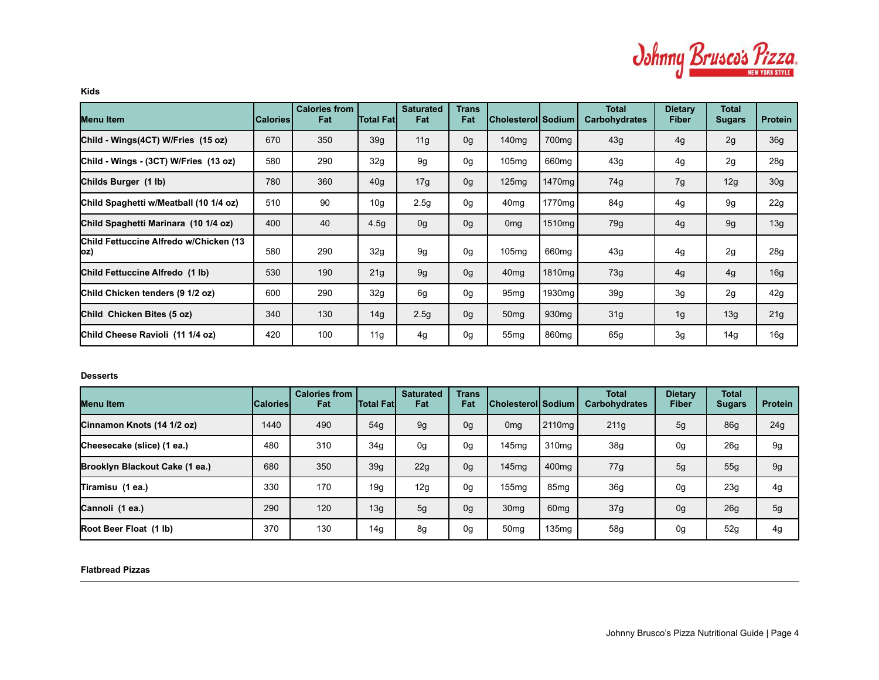

**Kids**

| Menu Item                                      | <b>Calories</b> | <b>Calories from</b><br>Fat | <b>Total Fat</b> | <b>Saturated</b><br>Fat | <b>Trans</b><br>Fat | Cholesterol Sodium |                    | <b>Total</b><br><b>Carbohydrates</b> | <b>Dietary</b><br><b>Fiber</b> | <b>Total</b><br><b>Sugars</b> | <b>Protein</b>  |
|------------------------------------------------|-----------------|-----------------------------|------------------|-------------------------|---------------------|--------------------|--------------------|--------------------------------------|--------------------------------|-------------------------------|-----------------|
| Child - Wings(4CT) W/Fries (15 oz)             | 670             | 350                         | 39 <sub>g</sub>  | 11g                     | 0 <sub>g</sub>      | 140 <sub>mg</sub>  | 700 <sub>mq</sub>  | 43g                                  | 4g                             | 2g                            | 36g             |
| Child - Wings - (3CT) W/Fries (13 oz)          | 580             | 290                         | 32g              | 9q                      | 0g                  | 105mg              | 660 <sub>mq</sub>  | 43g                                  | 4g                             | 2g                            | 28g             |
| Childs Burger (1 lb)                           | 780             | 360                         | 40 <sub>g</sub>  | 17g                     | 0g                  | 125mg              | 1470mg             | 74g                                  | 7g                             | 12g                           | 30 <sub>g</sub> |
| Child Spaghetti w/Meatball (10 1/4 oz)         | 510             | 90                          | 10 <sub>q</sub>  | 2.5g                    | 0g                  | 40 <sub>mg</sub>   | 1770 <sub>mg</sub> | 84g                                  | 4g                             | 9g                            | 22g             |
| Child Spaghetti Marinara (10 1/4 oz)           | 400             | 40                          | 4.5 <sub>g</sub> | 0g                      | 0 <sub>g</sub>      | 0 <sub>mg</sub>    | 1510mg             | 79g                                  | 4g                             | 9g                            | 13g             |
| Child Fettuccine Alfredo w/Chicken (13<br>Joz) | 580             | 290                         | 32g              | 9g                      | 0g                  | 105mg              | 660 <sub>mq</sub>  | 43g                                  | 4g                             | 2g                            | 28g             |
| Child Fettuccine Alfredo (1 lb)                | 530             | 190                         | 21g              | 9 <sub>g</sub>          | 0 <sub>g</sub>      | 40 <sub>mg</sub>   | 1810mg             | 73g                                  | 4g                             | 4g                            | 16g             |
| Child Chicken tenders (9 1/2 oz)               | 600             | 290                         | 32g              | 6g                      | 0g                  | 95 <sub>mg</sub>   | 1930mg             | 39g                                  | 3g                             | 2g                            | 42g             |
| Child Chicken Bites (5 oz)                     | 340             | 130                         | 14 <sub>q</sub>  | 2.5g                    | 0 <sub>g</sub>      | 50 <sub>mg</sub>   | 930 <sub>mq</sub>  | 31g                                  | 1g                             | 13g                           | 21g             |
| Child Cheese Ravioli (11 1/4 oz)               | 420             | 100                         | 11g              | 4g                      | 0g                  | 55 <sub>mg</sub>   | 860 <sub>mg</sub>  | 65g                                  | 3g                             | 14g                           | 16g             |

#### **Desserts**

| Menu Item                      | <b>ICalories</b> | <b>Calories from</b><br>Fat | <b>Total Fatl</b> | <b>Saturated</b><br>Fat | <b>Trans</b><br>Fat | <b>Cholesterol Sodium</b> |                    | <b>Total</b><br><b>Carbohydrates</b> | <b>Dietary</b><br><b>Fiber</b> | <b>Total</b><br><b>Sugars</b> | <b>Protein</b> |
|--------------------------------|------------------|-----------------------------|-------------------|-------------------------|---------------------|---------------------------|--------------------|--------------------------------------|--------------------------------|-------------------------------|----------------|
| Cinnamon Knots (14 1/2 oz)     | 1440             | 490                         | 54q               | 9g                      | 0g                  | 0 <sub>mg</sub>           | 2110 <sub>ma</sub> | 211g                                 | 5g                             | <b>86g</b>                    | 24g            |
| Cheesecake (slice) (1 ea.)     | 480              | 310                         | 34 <sub>q</sub>   | 0 <sub>q</sub>          | 0g                  | 145 <sub>mq</sub>         | 310 <sub>ma</sub>  | 38g                                  | 0g                             | 26g                           | 9g             |
| Brooklyn Blackout Cake (1 ea.) | 680              | 350                         | 39 <sub>q</sub>   | 22g                     | 0 <sub>g</sub>      | 145 <sub>mq</sub>         | 400 <sub>ma</sub>  | 77g                                  | 5g                             | 55g                           | 9g             |
| Tiramisu (1 ea.)               | 330              | 170                         | 19q               | 12g                     | 0g                  | 155 <sub>mq</sub>         | 85 <sub>ma</sub>   | 36g                                  | 0g                             | 23g                           | 4g             |
| Cannoli (1 ea.)                | 290              | 120                         | 13q               | 5g                      | 0 <sub>g</sub>      | 30 <sub>mq</sub>          | 60 <sub>mg</sub>   | 37g                                  | 0 <sub>g</sub>                 | 26g                           | 5g             |
| Root Beer Float (1 lb)         | 370              | 130                         | 14 <sub>q</sub>   | 8g                      | 0g                  | 50 <sub>mg</sub>          | 135 <sub>mq</sub>  | 58g                                  | 0g                             | 52g                           | 4g             |

# **Flatbread Pizzas**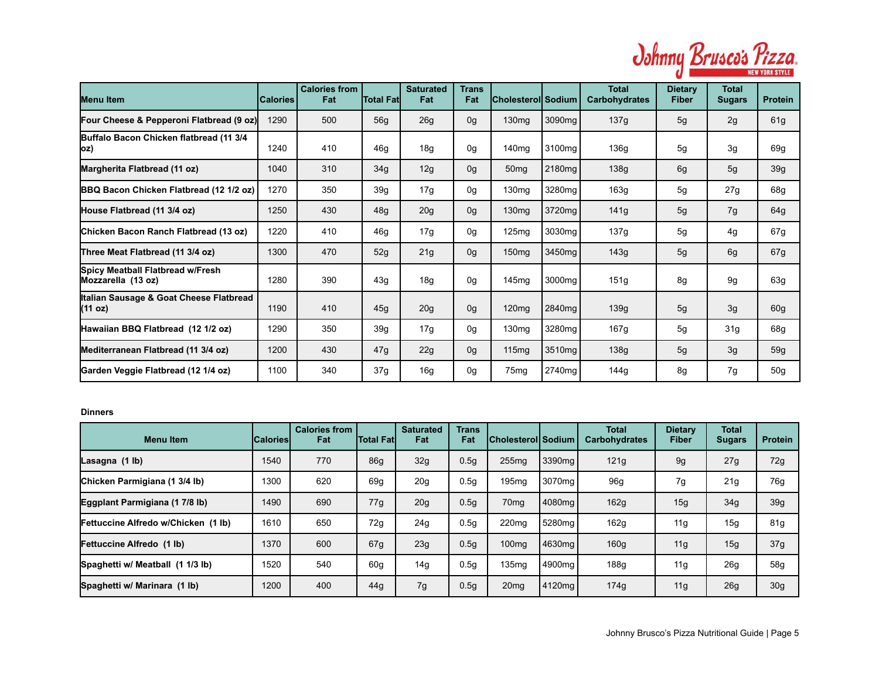

| <b>Menu Item</b>                                       | <b>Calories</b> | <b>Calories from</b><br>Fat | <b>Total Fatl</b> | <b>Saturated</b><br>Fat | Trans<br>Fat   | Cholesterol Sodium |                    | <b>Total</b><br><b>Carbohydrates</b> | <b>Dietary</b><br><b>Fiber</b> | <b>Total</b><br><b>Sugars</b> | <b>Protein</b>  |
|--------------------------------------------------------|-----------------|-----------------------------|-------------------|-------------------------|----------------|--------------------|--------------------|--------------------------------------|--------------------------------|-------------------------------|-----------------|
| Four Cheese & Pepperoni Flatbread (9 oz)               | 1290            | 500                         | 56g               | 26g                     | 0 <sub>q</sub> | 130 <sub>mg</sub>  | 3090mg             | 137g                                 | 5g                             | 2g                            | 61 <sub>g</sub> |
| Buffalo Bacon Chicken flatbread (11 3/4<br> OZ)        | 1240            | 410                         | 46g               | 18 <sub>g</sub>         | 0 <sub>q</sub> | 140 <sub>mg</sub>  | 3100mg             | 136g                                 | 5g                             | 3g                            | 69g             |
| Margherita Flatbread (11 oz)                           | 1040            | 310                         | 34g               | 12g                     | 0 <sub>q</sub> | 50 <sub>mg</sub>   | 2180 <sub>mq</sub> | 138g                                 | 6g                             | 5g                            | 39 <sub>g</sub> |
| <b>BBQ Bacon Chicken Flatbread (12 1/2 oz)</b>         | 1270            | 350                         | 39 <sub>g</sub>   | 17g                     | 0 <sub>q</sub> | 130 <sub>mg</sub>  | 3280mg             | 163g                                 | 5g                             | 27g                           | 68g             |
| House Flatbread (11 3/4 oz)                            | 1250            | 430                         | 48g               | 20g                     | 0g             | 130 <sub>mg</sub>  | 3720mg             | 141g                                 | 5g                             | 7g                            | 64g             |
| Chicken Bacon Ranch Flatbread (13 oz)                  | 1220            | 410                         | 46g               | 17g                     | 0 <sub>q</sub> | 125mg              | 3030 <sub>mq</sub> | 137g                                 | 5g                             | 4g                            | 67g             |
| Three Meat Flatbread (11 3/4 oz)                       | 1300            | 470                         | 52g               | 21g                     | 0g             | 150 <sub>mg</sub>  | 3450mg             | 143g                                 | 5g                             | 6g                            | 67g             |
| Spicy Meatball Flatbread w/Fresh<br>Mozzarella (13 oz) | 1280            | 390                         | 43g               | 18 <sub>g</sub>         | 0 <sub>q</sub> | 145 <sub>ma</sub>  | 3000mg             | 151g                                 | 8g                             | 9q                            | 63g             |
| Italian Sausage & Goat Cheese Flatbread<br>(11 oz)     | 1190            | 410                         | 45g               | 20g                     | 0g             | 120mg              | 2840mg             | 139g                                 | 5g                             | 3g                            | 60 <sub>g</sub> |
| Hawaiian BBQ Flatbread (12 1/2 oz)                     | 1290            | 350                         | 39 <sub>g</sub>   | 17g                     | 0g             | 130 <sub>mg</sub>  | 3280mg             | 167g                                 | 5g                             | 31 <sub>g</sub>               | 68g             |
| Mediterranean Flatbread (11 3/4 oz)                    | 1200            | 430                         | 47g               | 22g                     | 0g             | 115mg              | 3510mg             | 138g                                 | 5g                             | 3g                            | 59g             |
| Garden Veggie Flatbread (12 1/4 oz)                    | 1100            | 340                         | 37g               | 16 <sub>g</sub>         | 0 <sub>q</sub> | 75 <sub>mg</sub>   | 2740mg             | 144q                                 | 8g                             | 7g                            | 50 <sub>g</sub> |

## **Dinners**

| <b>Menu Item</b>                    | <b>ICaloriesI</b> | <b>Calories from</b><br>Fat | <b>Total Fatl</b> | <b>Saturated</b><br>Fat | <b>Trans</b><br>Fat | Cholesterol <i> </i> Sodium |                    | <b>Total</b><br><b>Carbohydrates</b> | Dietary<br>Fiber | <b>Total</b><br><b>Sugars</b> | <b>Protein</b>  |
|-------------------------------------|-------------------|-----------------------------|-------------------|-------------------------|---------------------|-----------------------------|--------------------|--------------------------------------|------------------|-------------------------------|-----------------|
| Lasagna (1 lb)                      | 1540              | 770                         | 86 <sub>q</sub>   | 32 <sub>g</sub>         | 0.5 <sub>g</sub>    | 255mg                       | 3390 <sub>mq</sub> | 121g                                 | 9g               | 27g                           | 72g             |
| Chicken Parmigiana (1 3/4 lb)       | 1300              | 620                         | 69q               | 20 <sub>g</sub>         | 0.5 <sub>g</sub>    | 195mg                       | 3070 <sub>mg</sub> | 96g                                  | 7g               | 21g                           | 76g             |
| Eggplant Parmigiana (1 7/8 lb)      | 1490              | 690                         | 77g               | 20 <sub>q</sub>         | 0.5 <sub>g</sub>    | 70 <sub>mg</sub>            | 4080mal            | 162g                                 | 15 <sub>q</sub>  | 34g                           | 39g             |
| Fettuccine Alfredo w/Chicken (1 lb) | 1610              | 650                         | 72g               | 24g                     | 0.5 <sub>g</sub>    | 220 <sub>mq</sub>           | 5280mg             | 162g                                 | 11q              | 15g                           | 81g             |
| Fettuccine Alfredo (1 lb)           | 1370              | 600                         | 67g               | 23 <sub>q</sub>         | 0.5 <sub>g</sub>    | 100 <sub>mg</sub>           | 4630mg             | 160 <sub>g</sub>                     | 11 <sub>q</sub>  | 15g                           | 37g             |
| Spaghetti w/ Meatball (1 1/3 lb)    | 1520              | 540                         | 60q               | 14g                     | 0.5 <sub>g</sub>    | 135 <sub>mq</sub>           | 4900ma             | 188g                                 | 11q              | 26g                           | 58g             |
| Spaghetti w/ Marinara (1 lb)        | 1200              | 400                         | 44g               | 7g                      | 0.5g                | 20 <sub>mg</sub>            | 4120mg             | 174g                                 | 11q              | <b>26g</b>                    | 30 <sub>g</sub> |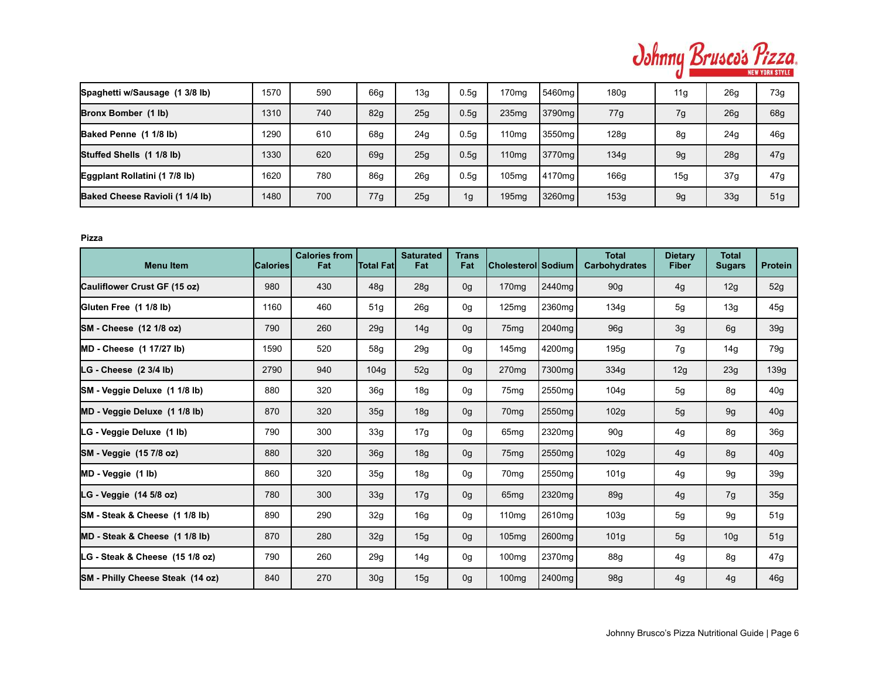

| Spaghetti w/Sausage (1 3/8 lb)  | 1570 | 590 | 66g             | 13g | 0.5 <sub>q</sub> | 170 <sub>mg</sub> | 5460mg             | 180q | 11g             | 26g | 73g |
|---------------------------------|------|-----|-----------------|-----|------------------|-------------------|--------------------|------|-----------------|-----|-----|
| Bronx Bomber (1 lb)             | 1310 | 740 | 82 <sub>g</sub> | 25g | 0.5q             | 235 <sub>mq</sub> | 3790 <sub>mg</sub> | 77g  | 7g              | 26g | 68g |
| Baked Penne (1 1/8 lb)          | 1290 | 610 | 68q             | 24g | 0.5q             | 110 <sub>mg</sub> | 3550 <sub>mg</sub> | 128q | 8g              | 24g | 46g |
| Stuffed Shells (1 1/8 lb)       | 1330 | 620 | 69g             | 25g | 0.5g             | 110 <sub>mg</sub> | 3770 <sub>ma</sub> | 134g | 9g              | 28g | 47g |
| Eggplant Rollatini (1 7/8 lb)   | 1620 | 780 | 86g             | 26g | 0.5q             | 105 <sub>mq</sub> | 4170 <sub>ma</sub> | 166q | 15 <sub>g</sub> | 37g | 47g |
| Baked Cheese Ravioli (1 1/4 lb) | 1480 | 700 | 77g             | 25g | 1g               | 195 <sub>mq</sub> | 3260 <sub>mg</sub> | 153g | 9g              | 33g | 51g |

## **Pizza**

| <b>Menu Item</b>                   | <b>Calories</b> | <b>Calories from</b><br>Fat | Total Fat       | <b>Saturated</b><br>Fat | <b>Trans</b><br>Fat | Cholesterol  Sodium |        | <b>Total</b><br><b>Carbohydrates</b> | <b>Dietary</b><br><b>Fiber</b> | <b>Total</b><br><b>Sugars</b> | <b>Protein</b>  |
|------------------------------------|-----------------|-----------------------------|-----------------|-------------------------|---------------------|---------------------|--------|--------------------------------------|--------------------------------|-------------------------------|-----------------|
| Cauliflower Crust GF (15 oz)       | 980             | 430                         | 48g             | 28g                     | 0 <sub>g</sub>      | 170 <sub>mg</sub>   | 2440mg | 90g                                  | 4g                             | 12g                           | 52g             |
| Gluten Free (1 1/8 lb)             | 1160            | 460                         | 51g             | 26g                     | 0g                  | 125mg               | 2360mg | 134g                                 | 5g                             | 13g                           | 45g             |
| <b>SM</b> - Cheese (12 1/8 oz)     | 790             | 260                         | 29g             | 14g                     | 0 <sub>g</sub>      | 75 <sub>mg</sub>    | 2040mg | 96g                                  | 3g                             | 6g                            | 39g             |
| <b>MD</b> - Cheese (1 17/27 lb)    | 1590            | 520                         | 58g             | 29g                     | 0g                  | 145 <sub>mq</sub>   | 4200mg | 195g                                 | 7g                             | 14g                           | 79g             |
| $LG$ - Cheese $(2 \frac{3}{4}$ lb) | 2790            | 940                         | 104q            | 52g                     | 0g                  | 270 <sub>mq</sub>   | 7300mg | 334g                                 | 12g                            | 23g                           | 139g            |
| SM - Veggie Deluxe (1 1/8 lb)      | 880             | 320                         | 36 <sub>q</sub> | 18g                     | 0g                  | 75 <sub>mg</sub>    | 2550mg | 104g                                 | 5g                             | 8g                            | 40g             |
| MD - Veggie Deluxe (1 1/8 lb)      | 870             | 320                         | 35g             | 18g                     | 0g                  | 70 <sub>mq</sub>    | 2550mg | 102g                                 | 5g                             | 9g                            | 40 <sub>g</sub> |
| LG - Veggie Deluxe (1 lb)          | 790             | 300                         | 33g             | 17g                     | 0g                  | 65 <sub>mg</sub>    | 2320mg | 90g                                  | 4g                             | 8g                            | 36g             |
| SM - Veggie (15 7/8 oz)            | 880             | 320                         | 36g             | 18g                     | 0g                  | 75 <sub>mg</sub>    | 2550mg | 102g                                 | 4g                             | 8g                            | 40 <sub>g</sub> |
| MD - Veggie (1 lb)                 | 860             | 320                         | 35 <sub>g</sub> | 18g                     | 0g                  | 70 <sub>mg</sub>    | 2550mg | 101g                                 | 4g                             | 9g                            | 39 <sub>g</sub> |
| LG - Veggie (14 5/8 oz)            | 780             | 300                         | 33g             | 17g                     | 0 <sub>g</sub>      | 65 <sub>mq</sub>    | 2320mg | 89g                                  | 4g                             | 7g                            | 35g             |
| SM - Steak & Cheese (1 1/8 lb)     | 890             | 290                         | 32g             | 16g                     | 0g                  | 110 <sub>mg</sub>   | 2610mg | 103g                                 | 5g                             | 9g                            | 51g             |
| MD - Steak & Cheese (1 1/8 lb)     | 870             | 280                         | 32g             | 15g                     | 0 <sub>g</sub>      | 105 <sub>mg</sub>   | 2600mg | 101 <sub>g</sub>                     | 5g                             | 10 <sub>g</sub>               | 51g             |
| LG - Steak & Cheese (15 1/8 oz)    | 790             | 260                         | 29g             | 14g                     | 0g                  | 100 <sub>mg</sub>   | 2370mg | 88g                                  | 4g                             | 8g                            | 47g             |
| SM - Philly Cheese Steak (14 oz)   | 840             | 270                         | 30 <sub>q</sub> | 15 <sub>q</sub>         | 0 <sub>g</sub>      | 100 <sub>mg</sub>   | 2400mg | 98g                                  | 4g                             | 4g                            | 46g             |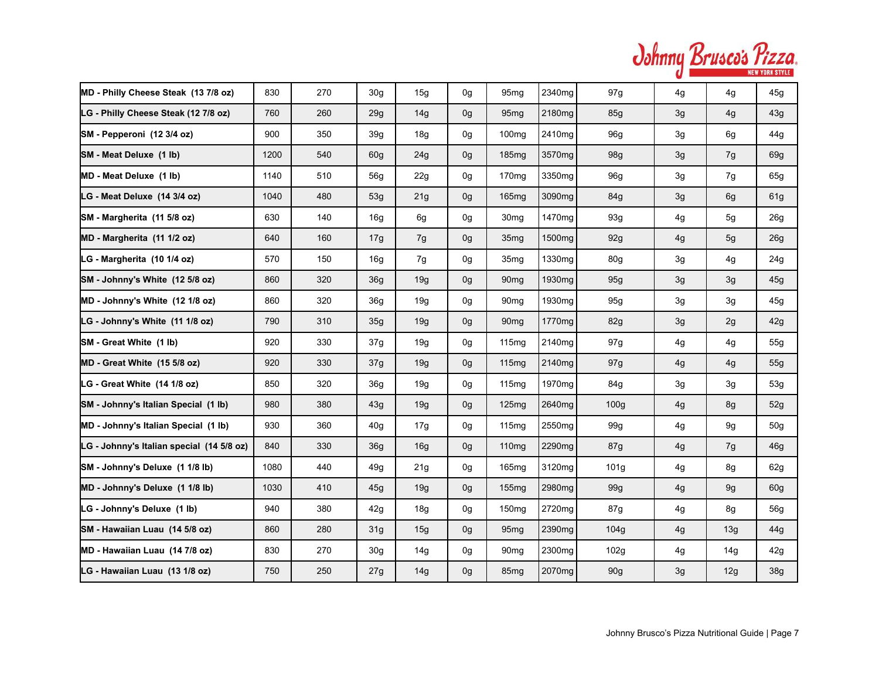| Johnny Brusco's Pizza. |                       |
|------------------------|-----------------------|
|                        | <b>NEW YORK STYLE</b> |

| MD - Philly Cheese Steak (13 7/8 oz)      | 830  | 270 | 30 <sub>g</sub> | 15g             | 0g             | 95 <sub>mg</sub>  | 2340mg             | 97g              | 4g | 4g  | 45g             |
|-------------------------------------------|------|-----|-----------------|-----------------|----------------|-------------------|--------------------|------------------|----|-----|-----------------|
| LG - Philly Cheese Steak (12 7/8 oz)      | 760  | 260 | 29g             | 14g             | 0g             | 95 <sub>mg</sub>  | 2180mg             | 85g              | 3g | 4g  | 43g             |
| SM - Pepperoni (12 3/4 oz)                | 900  | 350 | 39g             | 18 <sub>g</sub> | 0 <sub>q</sub> | 100 <sub>mq</sub> | 2410mg             | 96g              | 3g | 6g  | 44g             |
| SM - Meat Deluxe (1 lb)                   | 1200 | 540 | 60 <sub>q</sub> | 24g             | 0g             | 185 <sub>mq</sub> | 3570 <sub>mq</sub> | 98g              | 3g | 7g  | 69g             |
| MD - Meat Deluxe (1 lb)                   | 1140 | 510 | 56g             | 22g             | 0g             | 170 <sub>mg</sub> | 3350mg             | 96g              | 3g | 7g  | 65g             |
| LG - Meat Deluxe (14 3/4 oz)              | 1040 | 480 | 53g             | 21g             | 0g             | 165mg             | 3090mg             | 84g              | 3g | 6g  | 61g             |
| SM - Margherita (11 5/8 oz)               | 630  | 140 | 16g             | 6g              | 0g             | 30 <sub>mg</sub>  | 1470mg             | 93g              | 4g | 5g  | 26g             |
| MD - Margherita (11 1/2 oz)               | 640  | 160 | 17g             | 7g              | 0 <sub>g</sub> | 35 <sub>mg</sub>  | 1500mg             | 92g              | 4g | 5g  | 26g             |
| LG - Margherita (10 1/4 oz)               | 570  | 150 | 16 <sub>q</sub> | 7g              | 0g             | 35 <sub>mg</sub>  | 1330mg             | 80g              | 3g | 4g  | 24g             |
| SM - Johnny's White (12 5/8 oz)           | 860  | 320 | 36g             | 19g             | 0g             | 90 <sub>mg</sub>  | 1930mg             | 95g              | 3g | 3g  | 45g             |
| MD - Johnny's White (12 1/8 oz)           | 860  | 320 | 36 <sub>q</sub> | 19g             | 0g             | 90 <sub>mg</sub>  | 1930 <sub>mq</sub> | 95g              | 3g | 3g  | 45g             |
| LG - Johnny's White (11 1/8 oz)           | 790  | 310 | 35 <sub>q</sub> | 19q             | 0 <sub>g</sub> | 90 <sub>mq</sub>  | 1770 <sub>mg</sub> | 82g              | 3g | 2g  | 42g             |
| SM - Great White (1 lb)                   | 920  | 330 | 37 <sub>q</sub> | 19q             | 0g             | 115 <sub>mq</sub> | 2140mg             | 97g              | 4g | 4g  | 55g             |
| MD - Great White (15 5/8 oz)              | 920  | 330 | 37g             | 19q             | 0g             | 115 <sub>mq</sub> | 2140mg             | 97g              | 4g | 4g  | 55g             |
| LG - Great White (14 1/8 oz)              | 850  | 320 | 36g             | 19g             | 0g             | 115mg             | 1970mg             | 84g              | 3g | 3g  | 53g             |
| SM - Johnny's Italian Special (1 lb)      | 980  | 380 | 43g             | 19g             | 0g             | 125mg             | 2640mg             | 100 <sub>g</sub> | 4g | 8g  | 52g             |
| MD - Johnny's Italian Special (1 lb)      | 930  | 360 | 40g             | 17g             | 0g             | 115mg             | 2550mg             | 99g              | 4g | 9g  | 50 <sub>g</sub> |
| LG - Johnny's Italian special (14 5/8 oz) | 840  | 330 | 36 <sub>q</sub> | 16g             | 0g             | 110mg             | 2290mg             | 87g              | 4g | 7g  | 46g             |
| SM - Johnny's Deluxe (1 1/8 lb)           | 1080 | 440 | 49g             | 21g             | 0g             | 165mg             | 3120mg             | 101 <sub>g</sub> | 4g | 8g  | 62g             |
| MD - Johnny's Deluxe (1 1/8 lb)           | 1030 | 410 | 45g             | 19g             | 0g             | 155mg             | 2980mg             | 99g              | 4g | 9g  | 60g             |
| LG - Johnny's Deluxe (1 lb)               | 940  | 380 | 42g             | 18 <sub>g</sub> | 0g             | 150 <sub>mg</sub> | 2720mg             | 87g              | 4g | 8g  | 56g             |
| SM - Hawaiian Luau (14 5/8 oz)            | 860  | 280 | 31 <sub>q</sub> | 15g             | 0g             | 95 <sub>mq</sub>  | 2390 <sub>mq</sub> | 104g             | 4g | 13g | 44g             |
| MD - Hawaiian Luau (14 7/8 oz)            | 830  | 270 | 30 <sub>q</sub> | 14g             | 0g             | 90 <sub>mq</sub>  | 2300mg             | 102g             | 4g | 14g | 42g             |
| LG - Hawaiian Luau (13 1/8 oz)            | 750  | 250 | 27g             | 14g             | 0g             | 85 <sub>mq</sub>  | 2070mg             | 90g              | 3g | 12g | 38g             |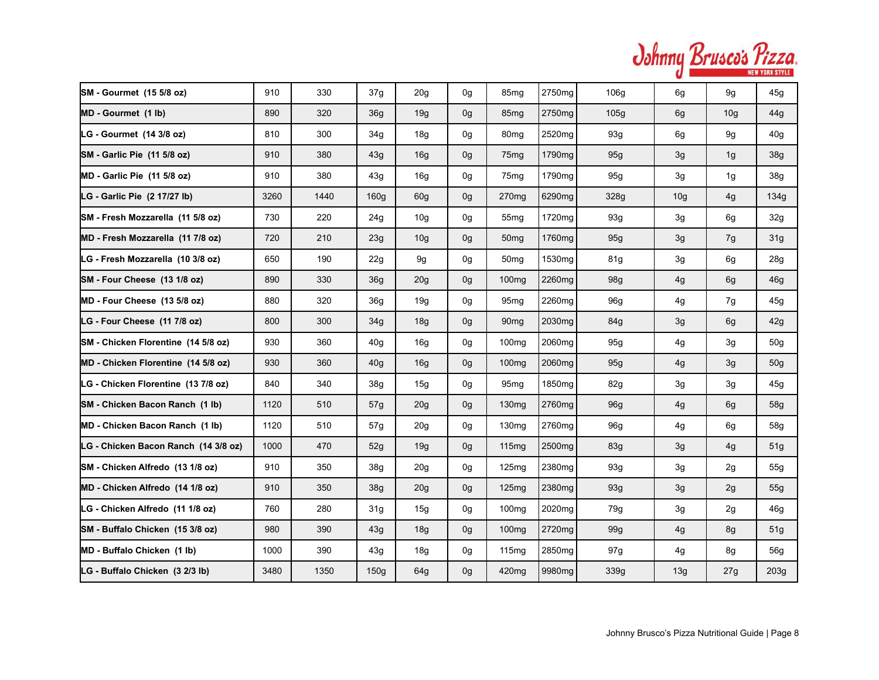| Johnny Brusco's Pizza. |  | <b>NEW YORK STYLE</b> |
|------------------------|--|-----------------------|
|------------------------|--|-----------------------|

| SM - Gourmet (15 5/8 oz)             | 910  | 330  | 37g              | 20g             | 0 <sub>q</sub> | 85 <sub>mg</sub>  | 2750mg             | 106g | 6g              | 9g              | 45g             |
|--------------------------------------|------|------|------------------|-----------------|----------------|-------------------|--------------------|------|-----------------|-----------------|-----------------|
| MD - Gourmet (1 lb)                  | 890  | 320  | 36g              | 19g             | 0g             | 85 <sub>mg</sub>  | 2750 <sub>mq</sub> | 105g | 6g              | 10 <sub>g</sub> | 44g             |
| LG - Gourmet (14 3/8 oz)             | 810  | 300  | 34g              | 18 <sub>g</sub> | 0g             | 80 <sub>mq</sub>  | 2520mg             | 93g  | 6g              | 9g              | 40 <sub>g</sub> |
| SM - Garlic Pie (11 5/8 oz)          | 910  | 380  | 43g              | 16g             | 0 <sub>g</sub> | 75 <sub>mg</sub>  | 1790 <sub>mq</sub> | 95g  | 3g              | 1g              | 38g             |
| MD - Garlic Pie (11 5/8 oz)          | 910  | 380  | 43g              | 16 <sub>q</sub> | 0g             | 75 <sub>mq</sub>  | 1790mg             | 95g  | 3g              | 1 <sub>g</sub>  | 38g             |
| LG - Garlic Pie (2 17/27 lb)         | 3260 | 1440 | 160 <sub>g</sub> | 60 <sub>g</sub> | 0g             | 270 <sub>mg</sub> | 6290mg             | 328g | 10 <sub>g</sub> | 4g              | 134g            |
| SM - Fresh Mozzarella (11 5/8 oz)    | 730  | 220  | 24g              | 10 <sub>g</sub> | 0g             | 55 <sub>mg</sub>  | 1720mg             | 93g  | 3g              | 6g              | 32g             |
| MD - Fresh Mozzarella (11 7/8 oz)    | 720  | 210  | 23g              | 10 <sub>g</sub> | 0 <sub>g</sub> | 50 <sub>mg</sub>  | 1760mg             | 95g  | 3g              | 7g              | 31 <sub>g</sub> |
| LG - Fresh Mozzarella (10 3/8 oz)    | 650  | 190  | 22g              | 9g              | 0g             | 50 <sub>mq</sub>  | 1530mg             | 81g  | 3g              | 6g              | 28g             |
| SM - Four Cheese (13 1/8 oz)         | 890  | 330  | 36g              | 20g             | 0g             | 100mg             | 2260mg             | 98g  | 4g              | 6g              | 46g             |
| MD - Four Cheese (13 5/8 oz)         | 880  | 320  | 36 <sub>q</sub>  | 19g             | 0g             | 95 <sub>mg</sub>  | 2260mg             | 96g  | 4g              | 7g              | 45g             |
| LG - Four Cheese (11 7/8 oz)         | 800  | 300  | 34g              | 18g             | 0g             | 90 <sub>mq</sub>  | 2030mg             | 84g  | 3g              | 6g              | 42g             |
| SM - Chicken Florentine (14 5/8 oz)  | 930  | 360  | 40 <sub>q</sub>  | 16g             | 0g             | 100 <sub>mg</sub> | 2060mg             | 95g  | 4g              | 3g              | 50 <sub>g</sub> |
| MD - Chicken Florentine (14 5/8 oz)  | 930  | 360  | 40 <sub>g</sub>  | 16g             | 0g             | 100 <sub>mg</sub> | 2060mg             | 95g  | 4g              | 3g              | 50 <sub>q</sub> |
| LG - Chicken Florentine (13 7/8 oz)  | 840  | 340  | 38g              | 15g             | 0g             | 95 <sub>mg</sub>  | 1850 <sub>mg</sub> | 82g  | 3g              | 3g              | 45g             |
| SM - Chicken Bacon Ranch (1 lb)      | 1120 | 510  | 57g              | 20g             | 0g             | 130 <sub>mg</sub> | 2760mg             | 96g  | 4g              | 6g              | 58g             |
| MD - Chicken Bacon Ranch (1 lb)      | 1120 | 510  | 57g              | 20 <sub>q</sub> | 0g             | 130 <sub>mg</sub> | 2760mg             | 96g  | 4g              | 6g              | 58g             |
| LG - Chicken Bacon Ranch (14 3/8 oz) | 1000 | 470  | 52g              | 19g             | 0g             | 115mg             | 2500mg             | 83g  | 3g              | 4g              | 51g             |
| SM - Chicken Alfredo (13 1/8 oz)     | 910  | 350  | 38 <sub>q</sub>  | 20g             | 0g             | 125 <sub>mq</sub> | 2380mg             | 93g  | 3g              | 2g              | 55g             |
| MD - Chicken Alfredo (14 1/8 oz)     | 910  | 350  | 38g              | 20g             | 0g             | 125mg             | 2380mg             | 93g  | 3g              | 2g              | 55g             |
| LG - Chicken Alfredo (11 1/8 oz)     | 760  | 280  | 31g              | 15g             | 0g             | 100 <sub>mg</sub> | 2020mg             | 79g  | 3g              | 2g              | 46g             |
| SM - Buffalo Chicken (15 3/8 oz)     | 980  | 390  | 43g              | 18g             | 0 <sub>g</sub> | 100 <sub>mg</sub> | 2720mg             | 99g  | 4g              | 8g              | 51g             |
| MD - Buffalo Chicken (1 lb)          | 1000 | 390  | 43q              | 18g             | 0g             | 115 <sub>mq</sub> | 2850mg             | 97g  | 4g              | 8g              | 56g             |
| LG - Buffalo Chicken (3 2/3 lb)      | 3480 | 1350 | 150 <sub>g</sub> | 64g             | 0g             | 420mg             | 9980mg             | 339g | 13g             | 27g             | 203g            |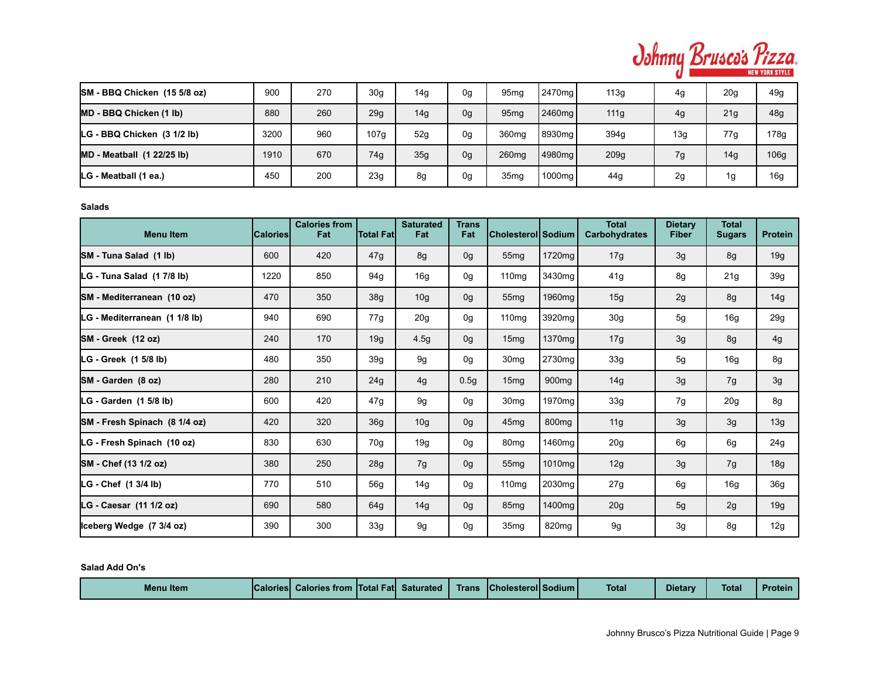

| SM - BBQ Chicken (15 5/8 oz)      | 900  | 270 | 30 <sub>g</sub> | 14 <sub>g</sub> | 0g             | 95 <sub>mg</sub>  | l 2470ma l         | 113g | 4g              | 20g | 49g             |
|-----------------------------------|------|-----|-----------------|-----------------|----------------|-------------------|--------------------|------|-----------------|-----|-----------------|
| MD - BBQ Chicken (1 lb)           | 880  | 260 | 29 <sub>q</sub> | 14g             | 0 <sub>g</sub> | 95 <sub>mg</sub>  | 2460mg             | 111g | 4g              | 21g | 48g             |
| LG - BBQ Chicken (3 1/2 lb)       | 3200 | 960 | 107g            | 52g             | 0g             | 360 <sub>mg</sub> | 8930mg             | 394q | 13 <sub>g</sub> | 77g | 178g            |
| <b>MD</b> - Meatball (1 22/25 lb) | 1910 | 670 | 74g             | 35g             | 0g             | 260mg             | 4980 <sub>mg</sub> | 209g | 7g              | 14g | 106g            |
| LG - Meatball (1 ea.)             | 450  | 200 | 23 <sub>g</sub> | 8g              | 0g             | 35 <sub>mg</sub>  | 1000mg             | 44g  | 2g              | 1g  | 16 <sub>g</sub> |

**Salads**

| <b>Menu Item</b>              | <b>Calories</b> | <b>Calories from</b><br>Fat | <b>Total Fatl</b> | <b>Saturated</b><br>Fat | <b>Trans</b><br>Fat | Cholesterol Sodium |                   | <b>Total</b><br><b>Carbohydrates</b> | <b>Dietary</b><br><b>Fiber</b> | <b>Total</b><br><b>Sugars</b> | <b>Protein</b>  |
|-------------------------------|-----------------|-----------------------------|-------------------|-------------------------|---------------------|--------------------|-------------------|--------------------------------------|--------------------------------|-------------------------------|-----------------|
| SM - Tuna Salad (1 lb)        | 600             | 420                         | 47g               | 8g                      | 0g                  | 55 <sub>mg</sub>   | 1720mg            | 17g                                  | 3g                             | 8g                            | 19g             |
| LG - Tuna Salad (1 7/8 lb)    | 1220            | 850                         | 94g               | 16g                     | 0g                  | 110mg              | 3430mg            | 41g                                  | 8g                             | 21g                           | 39 <sub>g</sub> |
| SM - Mediterranean (10 oz)    | 470             | 350                         | 38 <sub>g</sub>   | 10 <sub>g</sub>         | 0 <sub>g</sub>      | 55mg               | 1960mg            | 15g                                  | 2g                             | 8g                            | 14g             |
| LG - Mediterranean (1 1/8 lb) | 940             | 690                         | 77g               | 20 <sub>g</sub>         | 0g                  | 110 <sub>mg</sub>  | 3920mg            | 30 <sub>g</sub>                      | 5g                             | 16g                           | 29g             |
| SM-Greek (12 oz)              | 240             | 170                         | 19g               | 4.5g                    | 0g                  | 15mg               | 1370mg            | 17g                                  | 3g                             | 8g                            | 4g              |
| LG - Greek (1 5/8 lb)         | 480             | 350                         | 39g               | 9g                      | 0g                  | 30 <sub>mg</sub>   | 2730mg            | 33g                                  | 5g                             | 16g                           | 8g              |
| SM-Garden (8 oz)              | 280             | 210                         | 24g               | 4g                      | 0.5g                | 15 <sub>mg</sub>   | 900 <sub>mq</sub> | 14g                                  | 3g                             | 7g                            | 3g              |
| LG - Garden (1 5/8 lb)        | 600             | 420                         | 47g               | 9g                      | 0g                  | 30 <sub>mg</sub>   | 1970mg            | 33g                                  | 7g                             | 20g                           | 8g              |
| SM - Fresh Spinach (8 1/4 oz) | 420             | 320                         | 36 <sub>g</sub>   | 10 <sub>g</sub>         | 0g                  | 45 <sub>mq</sub>   | 800 <sub>mg</sub> | 11g                                  | 3g                             | 3g                            | 13g             |
| LG - Fresh Spinach (10 oz)    | 830             | 630                         | 70g               | 19g                     | 0g                  | 80 <sub>mg</sub>   | 1460mg            | 20g                                  | 6g                             | 6g                            | 24g             |
| SM - Chef (13 1/2 oz)         | 380             | 250                         | 28g               | 7g                      | 0g                  | 55 <sub>mg</sub>   | 1010mg            | 12g                                  | 3g                             | 7g                            | 18g             |
| LG - Chef (1 3/4 lb)          | 770             | 510                         | 56g               | 14g                     | 0g                  | 110 <sub>mg</sub>  | 2030mg            | 27g                                  | 6g                             | 16g                           | 36g             |
| LG - Caesar (11 1/2 oz)       | 690             | 580                         | 64g               | 14g                     | 0g                  | 85 <sub>mg</sub>   | 1400mg            | 20g                                  | 5g                             | 2g                            | 19g             |
| Iceberg Wedge (7 3/4 oz)      | 390             | 300                         | 33g               | 9g                      | 0g                  | 35 <sub>mg</sub>   | 820 <sub>mg</sub> | 9g                                   | 3g                             | 8g                            | 12g             |

**Salad Add On's**

| <b>Total FatI</b> Saturated<br><b>Calories</b><br><b>Menu</b> Item<br><b>Calories from</b> | <b>Cholesteroll Sodium I</b><br><b>Trans</b> | Dietary<br><b>Total</b> | <b>Total</b><br><b>Protein</b> |
|--------------------------------------------------------------------------------------------|----------------------------------------------|-------------------------|--------------------------------|
|--------------------------------------------------------------------------------------------|----------------------------------------------|-------------------------|--------------------------------|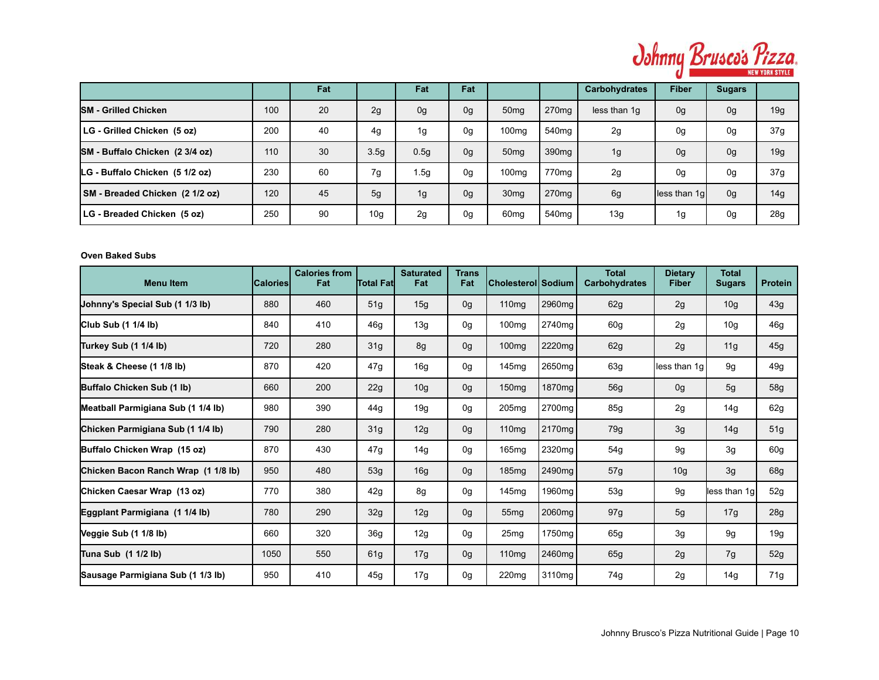

|                                 |     | Fat |                 | Fat              | Fat            |                   |                   | <b>Carbohydrates</b> | <b>Fiber</b>   | <b>Sugars</b> |                 |
|---------------------------------|-----|-----|-----------------|------------------|----------------|-------------------|-------------------|----------------------|----------------|---------------|-----------------|
| <b>SM - Grilled Chicken</b>     | 100 | 20  | 2g              | 0 <sub>g</sub>   | 0 <sub>g</sub> | 50 <sub>mg</sub>  | 270 <sub>mq</sub> | less than 1q         | 0 <sub>g</sub> | 0g            | 19g             |
| LG - Grilled Chicken (5 oz)     | 200 | 40  | 4g              | 1g               | 0g             | 100 <sub>mg</sub> | 540mg             | 2g                   | 0g             | 0g            | 37g             |
| SM - Buffalo Chicken (2 3/4 oz) | 110 | 30  | 3.5q            | 0.5 <sub>g</sub> | 0 <sub>g</sub> | 50 <sub>mg</sub>  | 390 <sub>mq</sub> | 1g                   | 0 <sub>g</sub> | 0g            | 19g             |
| LG - Buffalo Chicken (5 1/2 oz) | 230 | 60  | 7g              | 1.5 <sub>g</sub> | 0g             | 100 <sub>mq</sub> | 770ma             | 2g                   | 0g             | 0g            | 37g             |
| SM - Breaded Chicken (2 1/2 oz) | 120 | 45  | 5g              | 1g               | 0 <sub>g</sub> | 30 <sub>mq</sub>  | 270 <sub>mq</sub> | 6g                   | less than 1g   | 0g            | 14g             |
| LG - Breaded Chicken (5 oz)     | 250 | 90  | 10 <sub>g</sub> | 2g               | 0g             | 60 <sub>mg</sub>  | 540mg             | 13g                  | 1g             | 0g            | 28 <sub>g</sub> |

# **Oven Baked Subs**

| <b>Menu Item</b>                    | lCaloriesl | <b>Calories from</b><br>Fat | <b>Total Fatl</b> | <b>Saturated</b><br>Fat | <b>Trans</b><br>Fat | Cholesterol  Sodium |                    | <b>Total</b><br><b>Carbohydrates</b> | <b>Dietary</b><br><b>Fiber</b> | <b>Total</b><br><b>Sugars</b> | <b>Protein</b> |
|-------------------------------------|------------|-----------------------------|-------------------|-------------------------|---------------------|---------------------|--------------------|--------------------------------------|--------------------------------|-------------------------------|----------------|
| Johnny's Special Sub (1 1/3 lb)     | 880        | 460                         | 51g               | 15g                     | 0g                  | 110mg               | 2960mg             | 62g                                  | 2g                             | 10 <sub>g</sub>               | 43g            |
| Club Sub (1 1/4 lb)                 | 840        | 410                         | 46g               | 13g                     | 0g                  | 100 <sub>mg</sub>   | 2740mg             | 60g                                  | 2g                             | 10 <sub>g</sub>               | 46g            |
| Turkey Sub (1 1/4 lb)               | 720        | 280                         | 31g               | 8g                      | 0g                  | 100 <sub>mg</sub>   | 2220mg             | 62g                                  | 2g                             | 11g                           | 45g            |
| Steak & Cheese (1 1/8 lb)           | 870        | 420                         | 47g               | 16g                     | 0g                  | 145mg               | 2650mg             | 63g                                  | less than 1g                   | 9g                            | 49g            |
| Buffalo Chicken Sub (1 lb)          | 660        | 200                         | 22g               | 10 <sub>g</sub>         | 0g                  | 150 <sub>mg</sub>   | 1870mg             | <b>56g</b>                           | 0 <sub>g</sub>                 | 5g                            | 58g            |
| Meatball Parmigiana Sub (1 1/4 lb)  | 980        | 390                         | 44g               | 19g                     | 0g                  | 205mg               | 2700mg             | 85g                                  | 2g                             | 14g                           | 62g            |
| Chicken Parmigiana Sub (1 1/4 lb)   | 790        | 280                         | 31g               | 12g                     | 0g                  | 110mg               | 2170 <sub>mg</sub> | 79g                                  | 3g                             | 14g                           | 51g            |
| Buffalo Chicken Wrap (15 oz)        | 870        | 430                         | 47g               | 14g                     | 0g                  | 165mg               | 2320mg             | 54g                                  | 9g                             | 3g                            | 60g            |
| Chicken Bacon Ranch Wrap (1 1/8 lb) | 950        | 480                         | 53g               | 16g                     | 0g                  | 185mg               | 2490mg             | 57g                                  | 10 <sub>g</sub>                | 3g                            | 68g            |
| Chicken Caesar Wrap (13 oz)         | 770        | 380                         | 42g               | 8g                      | 0g                  | 145mg               | 1960mg             | 53g                                  | 9g                             | less than 1g                  | 52g            |
| Eggplant Parmigiana (1 1/4 lb)      | 780        | 290                         | 32g               | 12g                     | 0 <sub>g</sub>      | 55 <sub>mq</sub>    | 2060mg             | 97g                                  | 5g                             | 17g                           | 28g            |
| Veggie Sub (1 1/8 lb)               | 660        | 320                         | 36g               | 12g                     | 0g                  | 25mg                | 1750mg             | 65g                                  | 3g                             | 9g                            | 19g            |
| Tuna Sub (1 1/2 lb)                 | 1050       | 550                         | 61g               | 17g                     | 0g                  | 110 <sub>mg</sub>   | 2460mg             | 65g                                  | 2g                             | 7g                            | 52g            |
| Sausage Parmigiana Sub (1 1/3 lb)   | 950        | 410                         | 45g               | 17g                     | 0g                  | 220mg               | 3110mg             | 74g                                  | 2g                             | 14g                           | 71g            |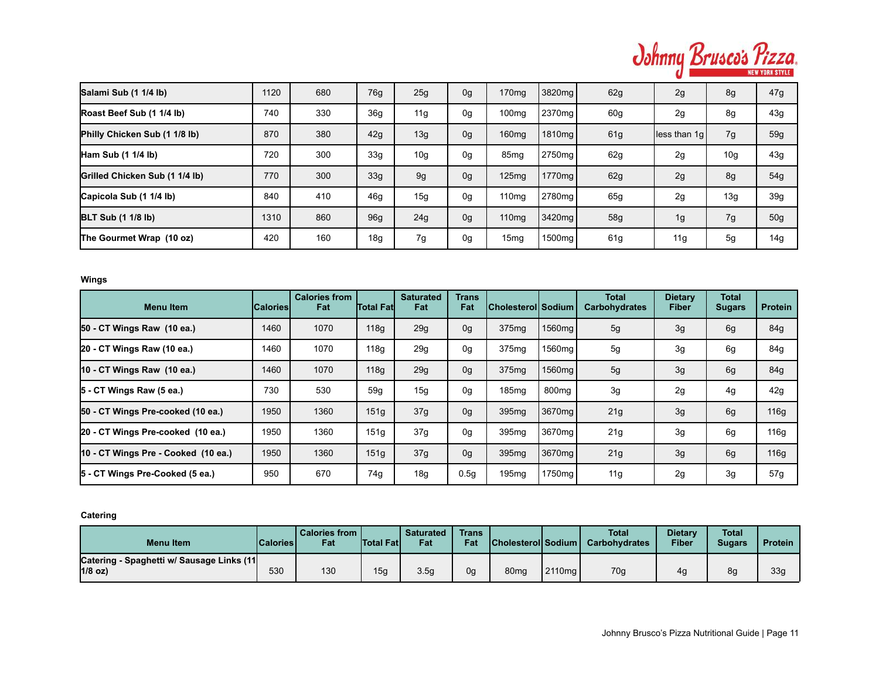

| Salami Sub (1 1/4 lb)          | 1120 | 680 | 76g             | 25g             | 0g | 170 <sub>mg</sub> | 3820mg             | 62g | 2g            | 8g              | 47g             |
|--------------------------------|------|-----|-----------------|-----------------|----|-------------------|--------------------|-----|---------------|-----------------|-----------------|
| Roast Beef Sub (1 1/4 lb)      | 740  | 330 | 36 <sub>q</sub> | 11g             | 0g | 100 <sub>mg</sub> | 2370 <sub>mg</sub> | 60g | 2g            | 8g              | 43g             |
| Philly Chicken Sub (1 1/8 lb)  | 870  | 380 | 42g             | 13g             | 0g | 160 <sub>mg</sub> | 1810 <sub>mg</sub> | 61g | lless than 1q | 7g              | 59g             |
| Ham Sub $(1 1/4 lb)$           | 720  | 300 | 33q             | 10 <sub>g</sub> | 0g | 85mg              | 2750 <sub>mg</sub> | 62g | 2g            | 10 <sub>g</sub> | 43g             |
| Grilled Chicken Sub (1 1/4 lb) | 770  | 300 | 33 <sub>g</sub> | 9q              | 0g | 125mg             | 1770mg             | 62g | 2g            | 8g              | 54g             |
| Capicola Sub (1 1/4 lb)        | 840  | 410 | 46q             | 15g             | 0g | 110 <sub>mq</sub> | 2780 <sub>mq</sub> | 65g | 2g            | 13g             | 39 <sub>g</sub> |
| <b>BLT Sub (1 1/8 lb)</b>      | 1310 | 860 | 96 <sub>q</sub> | 24g             | 0g | 110mg             | 3420mg             | 58g | 1g            | 7g              | 50 <sub>g</sub> |
| The Gourmet Wrap (10 oz)       | 420  | 160 | 18 <sub>g</sub> | 7g              | 0g | 15 <sub>mg</sub>  | 1500 <sub>mg</sub> | 61g | 11g           | 5g              | 14g             |

**Wings**

| <b>Menultem</b>                     | <b>ICaloriesI</b> | <b>Calories from</b><br>Fat | <b>Total Fatl</b> | <b>Saturated</b><br>Fat | Trans<br>Fat | Cholesterol  Sodium |                    | <b>Total</b><br><b>Carbohydrates</b> | <b>Dietary</b><br>Fiber | <b>Total</b><br><b>Sugars</b> | <b>Protein</b> |
|-------------------------------------|-------------------|-----------------------------|-------------------|-------------------------|--------------|---------------------|--------------------|--------------------------------------|-------------------------|-------------------------------|----------------|
| 50 - CT Wings Raw (10 ea.)          | 1460              | 1070                        | 118q              | 29 <sub>g</sub>         | 0g           | 375mg               | 1560mg             | 5g                                   | 3g                      | 6g                            | 84g            |
| 20 - CT Wings Raw (10 ea.)          | 1460              | 1070                        | 118g              | 29 <sub>g</sub>         | 0g           | 375mg               | 1560mg             | 5g                                   | 3g                      | 6g                            | 84g            |
| 10 - CT Wings Raw (10 ea.)          | 1460              | 1070                        | 118g              | 29 <sub>g</sub>         | 0g           | 375mg               | 1560 <sub>mg</sub> | 5g                                   | 3g                      | 6g                            | 84g            |
| 5 - CT Wings Raw (5 ea.)            | 730               | 530                         | 59q               | 15 <sub>g</sub>         | 0g           | 185mg               | 800 <sub>mq</sub>  | 3g                                   | 2g                      | 4g                            | 42g            |
| 50 - CT Wings Pre-cooked (10 ea.)   | 1950              | 1360                        | 151 <sub>g</sub>  | 37g                     | 0g           | 395mg               | 3670 <sub>mg</sub> | 21g                                  | 3g                      | 6g                            | 116g           |
| 20 - CT Wings Pre-cooked (10 ea.)   | 1950              | 1360                        | 151q              | 37g                     | 0g           | 395mg               | 3670 <sub>mq</sub> | 21g                                  | 3g                      | 6g                            | 116g           |
| 10 - CT Wings Pre - Cooked (10 ea.) | 1950              | 1360                        | 151 <sub>g</sub>  | 37g                     | 0g           | 395mg               | 3670 <sub>mg</sub> | 21g                                  | 3g                      | 6g                            | 116g           |
| 5 - CT Wings Pre-Cooked (5 ea.)     | 950               | 670                         | 74g               | 18g                     | 0.5q         | 195mg               | 1750mg             | 11g                                  | 2g                      | 3g                            | 57g            |

**Catering**

| <b>Menultem</b>                                         | <b>Calories</b> | <b>Calories from</b><br>Fat | <b>Total Fatl</b> | <b>Saturated</b><br>Fat | <b>Trans</b><br>Fat | <b>Cholesteroll Sodium</b> |           | <b>Total</b><br><b>Carbohydrates</b> | Dietary<br><b>Fiber</b> | Total<br><b>Sugars</b> | Protein I |
|---------------------------------------------------------|-----------------|-----------------------------|-------------------|-------------------------|---------------------|----------------------------|-----------|--------------------------------------|-------------------------|------------------------|-----------|
| Catering - Spaghetti w/ Sausage Links (11)<br>$1/8$ oz) | 530             | 130                         | 15 <sub>g</sub>   | 3.5g                    | 0g                  | 80 <sub>mq</sub>           | $2110$ mg | 70g                                  | 4g                      | 8g                     | 33g       |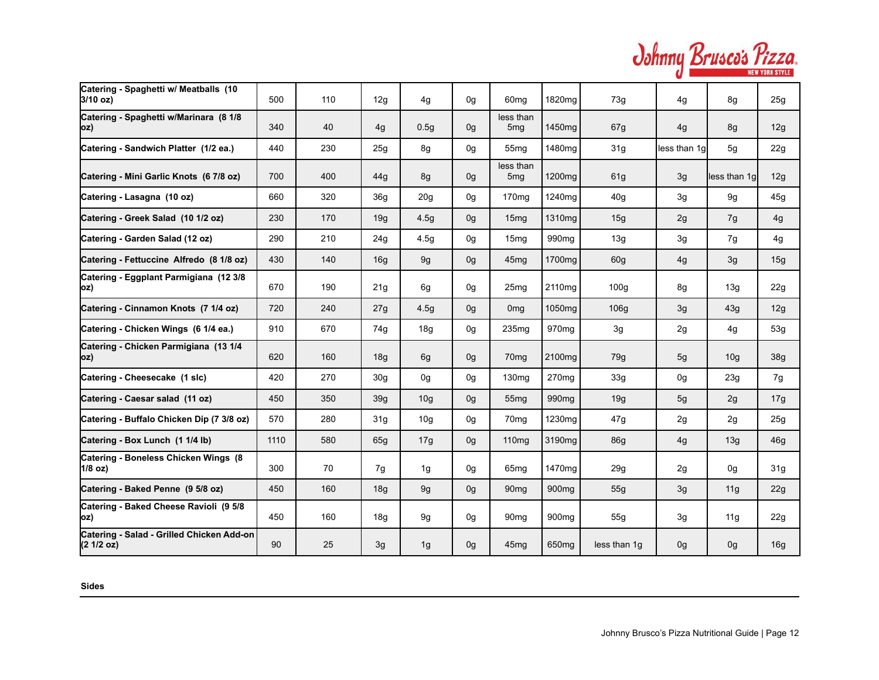| Johnny Brusco's Pizza. |  |
|------------------------|--|
|                        |  |

| Catering - Spaghetti w/ Meatballs (10<br>$3/10$ oz)    | 500  | 110 | 12g             | 4g               | 0 <sub>q</sub> | 60 <sub>mq</sub>             | 1820 <sub>mq</sub> | 73g          | 4g             | 8g              | 25 <sub>g</sub> |
|--------------------------------------------------------|------|-----|-----------------|------------------|----------------|------------------------------|--------------------|--------------|----------------|-----------------|-----------------|
| Catering - Spaghetti w/Marinara (8 1/8<br>oz)          | 340  | 40  | 4g              | 0.5 <sub>g</sub> | 0 <sub>q</sub> | less than<br>5mq             | 1450mg             | 67g          | 4g             | 8g              | 12g             |
| Catering - Sandwich Platter (1/2 ea.)                  | 440  | 230 | 25g             | 8g               | 0g             | 55mq                         | 1480mg             | 31g          | less than 1q   | 5g              | 22g             |
| Catering - Mini Garlic Knots (6 7/8 oz)                | 700  | 400 | 44g             | 8g               | 0g             | less than<br>5 <sub>mg</sub> | 1200 <sub>mq</sub> | 61g          | 3g             | less than 1g    | 12g             |
| Catering - Lasagna (10 oz)                             | 660  | 320 | 36 <sub>q</sub> | 20 <sub>g</sub>  | 0g             | 170 <sub>mg</sub>            | 1240mg             | 40g          | 3g             | 9g              | 45g             |
| Catering - Greek Salad (10 1/2 oz)                     | 230  | 170 | 19g             | 4.5g             | 0g             | 15 <sub>mq</sub>             | 1310 <sub>mq</sub> | 15g          | 2g             | 7g              | 4g              |
| Catering - Garden Salad (12 oz)                        | 290  | 210 | 24g             | 4.5g             | 0 <sub>g</sub> | 15 <sub>mq</sub>             | 990 <sub>mq</sub>  | 13g          | 3g             | 7g              | 4g              |
| Catering - Fettuccine Alfredo (8 1/8 oz)               | 430  | 140 | 16g             | 9g               | 0g             | 45 <sub>mg</sub>             | 1700mg             | 60g          | 4g             | 3g              | 15g             |
| Catering - Eggplant Parmigiana (12 3/8<br>oz)          | 670  | 190 | 21g             | 6g               | 0 <sub>q</sub> | 25 <sub>mq</sub>             | 2110 <sub>ma</sub> | 100q         | 8g             | 13g             | 22g             |
| Catering - Cinnamon Knots (7 1/4 oz)                   | 720  | 240 | 27g             | 4.5g             | 0g             | 0 <sub>mg</sub>              | 1050 <sub>mq</sub> | 106g         | 3g             | 43g             | 12g             |
| Catering - Chicken Wings (6 1/4 ea.)                   | 910  | 670 | 74g             | 18g              | 0 <sub>q</sub> | 235 <sub>mq</sub>            | 970 <sub>mq</sub>  | 3g           | 2g             | 4g              | 53g             |
| Catering - Chicken Parmigiana (13 1/4<br>oz)           | 620  | 160 | 18g             | 6g               | 0 <sub>q</sub> | 70 <sub>mq</sub>             | 2100mg             | 79g          | 5g             | 10 <sub>q</sub> | 38 <sub>g</sub> |
| Catering - Cheesecake (1 slc)                          | 420  | 270 | 30q             | 0 <sub>g</sub>   | 0 <sub>g</sub> | 130 <sub>mq</sub>            | 270 <sub>ma</sub>  | 33g          | 0 <sub>q</sub> | 23g             | 7g              |
| Catering - Caesar salad (11 oz)                        | 450  | 350 | 39 <sub>q</sub> | 10 <sub>g</sub>  | 0 <sub>q</sub> | 55 <sub>mq</sub>             | 990 <sub>mq</sub>  | 19g          | 5g             | 2g              | 17g             |
| Catering - Buffalo Chicken Dip (7 3/8 oz)              | 570  | 280 | 31 <sub>g</sub> | 10 <sub>g</sub>  | 0 <sub>q</sub> | 70 <sub>mq</sub>             | 1230mg             | 47g          | 2g             | 2g              | 25 <sub>g</sub> |
| Catering - Box Lunch (1 1/4 lb)                        | 1110 | 580 | 65g             | 17g              | 0 <sub>q</sub> | 110 <sub>mg</sub>            | 3190mg             | <b>86g</b>   | 4g             | 13g             | 46 <sub>g</sub> |
| Catering - Boneless Chicken Wings (8)<br>1/8 oz)       | 300  | 70  | 7g              | 1g               | 0g             | 65 <sub>mq</sub>             | 1470 <sub>mq</sub> | 29g          | 2g             | 0g              | 31 <sub>g</sub> |
| Catering - Baked Penne (9 5/8 oz)                      | 450  | 160 | 18g             | 9g               | 0g             | 90 <sub>mq</sub>             | 900 <sub>mq</sub>  | 55g          | 3g             | 11g             | 22g             |
| Catering - Baked Cheese Ravioli (9 5/8<br>(oz          | 450  | 160 | 18 <sub>g</sub> | 9g               | 0 <sub>q</sub> | 90 <sub>mq</sub>             | 900 <sub>mq</sub>  | 55g          | 3g             | 11g             | 22g             |
| Catering - Salad - Grilled Chicken Add-on<br>(21/2 oz) | 90   | 25  | 3g              | 1g               | 0 <sub>q</sub> | 45 <sub>mq</sub>             | 650 <sub>mg</sub>  | less than 1q | 0 <sub>g</sub> | 0g              | 16g             |

**Sides**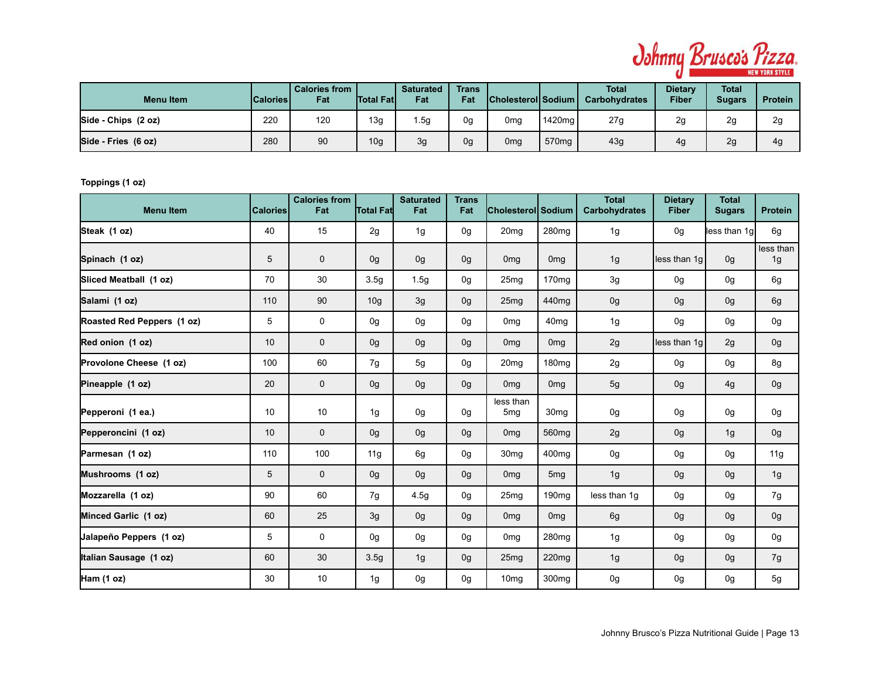

| <b>Menu Item</b>    | Calories <i>\</i> | l Calories from<br>Fat | <b>Total Fatl</b> | <b>Saturated</b><br>Fat | <b>Trans</b><br>Fat | Cholesterol Sodium_ |                   | Total<br><b>Carbohydrates</b> | <b>Dietary</b><br><b>Fiber</b> | <b>Total</b><br>Sugars | <b>Protein</b> |
|---------------------|-------------------|------------------------|-------------------|-------------------------|---------------------|---------------------|-------------------|-------------------------------|--------------------------------|------------------------|----------------|
| Side - Chips (2 oz) | 220               | 120                    | 13 <sub>q</sub>   | . 5g                    | 0g                  | 0mg                 | 1420mg            | 27g                           | 2g                             | 2g                     | 2g             |
| Side - Fries (6 oz) | 280               | 90                     | 10 <sub>g</sub>   | 3g                      | 0g                  | 0mg                 | 570 <sub>mq</sub> | 43g                           | 4g                             | 2g                     | 4g             |

**Toppings (1 oz)**

| <b>Menu Item</b>           | <b>Calories</b> | <b>Calories from</b><br>Fat | <b>Total Fat</b> | <b>Saturated</b><br>Fat | <b>Trans</b><br>Fat | <b>Cholesterol Sodium</b>    |                   | <b>Total</b><br><b>Carbohydrates</b> | <b>Dietary</b><br><b>Fiber</b> | <b>Total</b><br><b>Sugars</b> | <b>Protein</b>  |
|----------------------------|-----------------|-----------------------------|------------------|-------------------------|---------------------|------------------------------|-------------------|--------------------------------------|--------------------------------|-------------------------------|-----------------|
| Steak (1 oz)               | 40              | 15                          | 2g               | 1 <sub>g</sub>          | 0g                  | 20 <sub>mq</sub>             | 280 <sub>mq</sub> | 1g                                   | 0 <sub>q</sub>                 | less than 1g                  | 6g              |
| Spinach (1 oz)             | 5               | $\mathbf 0$                 | 0g               | 0g                      | 0g                  | 0 <sub>mq</sub>              | 0 <sub>mg</sub>   | 1g                                   | less than 1q                   | 0g                            | less than<br>1g |
| Sliced Meatball (1 oz)     | 70              | 30                          | 3.5 <sub>g</sub> | 1.5g                    | 0g                  | 25 <sub>mg</sub>             | 170 <sub>mg</sub> | 3g                                   | 0g                             | 0g                            | 6g              |
| Salami (1 oz)              | 110             | 90                          | 10 <sub>g</sub>  | 3g                      | 0g                  | 25 <sub>mq</sub>             | 440 <sub>mq</sub> | 0g                                   | 0g                             | 0g                            | 6g              |
| Roasted Red Peppers (1 oz) | 5               | 0                           | 0 <sub>q</sub>   | 0g                      | 0g                  | 0 <sub>mq</sub>              | 40 <sub>mq</sub>  | 1g                                   | 0 <sub>q</sub>                 | 0g                            | 0g              |
| Red onion (1 oz)           | 10              | $\mathbf 0$                 | 0 <sub>q</sub>   | 0g                      | 0g                  | 0 <sub>mg</sub>              | 0 <sub>mg</sub>   | 2g                                   | less than 1g                   | 2g                            | 0g              |
| Provolone Cheese (1 oz)    | 100             | 60                          | 7g               | 5g                      | 0g                  | 20 <sub>mg</sub>             | 180 <sub>mg</sub> | 2g                                   | 0g                             | 0g                            | 8g              |
| Pineapple (1 oz)           | 20              | $\mathbf 0$                 | 0g               | 0g                      | 0g                  | 0 <sub>mg</sub>              | 0 <sub>mg</sub>   | 5g                                   | 0g                             | 4g                            | 0g              |
| Pepperoni (1 ea.)          | 10              | 10                          | 1 <sub>g</sub>   | 0g                      | 0g                  | less than<br>5 <sub>mg</sub> | 30 <sub>mg</sub>  | 0g                                   | 0g                             | 0g                            | 0g              |
| Pepperoncini (1 oz)        | 10              | $\mathbf 0$                 | 0 <sub>q</sub>   | 0g                      | 0 <sub>q</sub>      | 0 <sub>mg</sub>              | 560 <sub>mg</sub> | 2g                                   | 0 <sub>q</sub>                 | 1g                            | 0g              |
| Parmesan (1 oz)            | 110             | 100                         | 11g              | 6g                      | 0g                  | 30 <sub>mg</sub>             | 400 <sub>mq</sub> | 0g                                   | 0g                             | 0g                            | 11g             |
| Mushrooms (1 oz)           | 5               | $\mathbf 0$                 | 0g               | 0g                      | 0g                  | 0 <sub>mg</sub>              | 5 <sub>mg</sub>   | 1g                                   | 0g                             | 0g                            | 1g              |
| Mozzarella (1 oz)          | 90              | 60                          | 7g               | 4.5g                    | 0g                  | 25mg                         | 190 <sub>mg</sub> | less than 1g                         | 0g                             | 0g                            | 7g              |
| Minced Garlic (1 oz)       | 60              | 25                          | 3g               | 0g                      | 0g                  | 0 <sub>mg</sub>              | 0 <sub>mg</sub>   | 6g                                   | 0g                             | 0g                            | 0g              |
| Jalapeño Peppers (1 oz)    | 5               | $\mathbf 0$                 | 0g               | 0g                      | 0g                  | 0 <sub>mg</sub>              | 280 <sub>mq</sub> | 1g                                   | 0g                             | 0g                            | 0g              |
| Italian Sausage (1 oz)     | 60              | 30                          | 3.5 <sub>q</sub> | 1g                      | 0g                  | 25 <sub>mq</sub>             | 220mg             | 1g                                   | 0g                             | 0g                            | 7g              |
| Ham (1 oz)                 | 30              | 10                          | 1g               | 0g                      | 0g                  | 10 <sub>mq</sub>             | 300 <sub>mq</sub> | 0g                                   | 0g                             | 0g                            | 5g              |